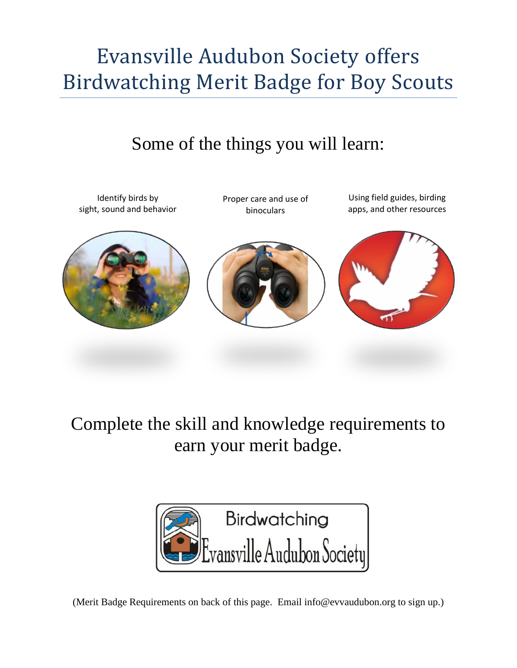## Evansville Audubon Society offers Birdwatching Merit Badge for Boy Scouts

## Some of the things you will learn:



Complete the skill and knowledge requirements to earn your merit badge.



(Merit Badge Requirements on back of this page. Email info@evvaudubon.org to sign up.)